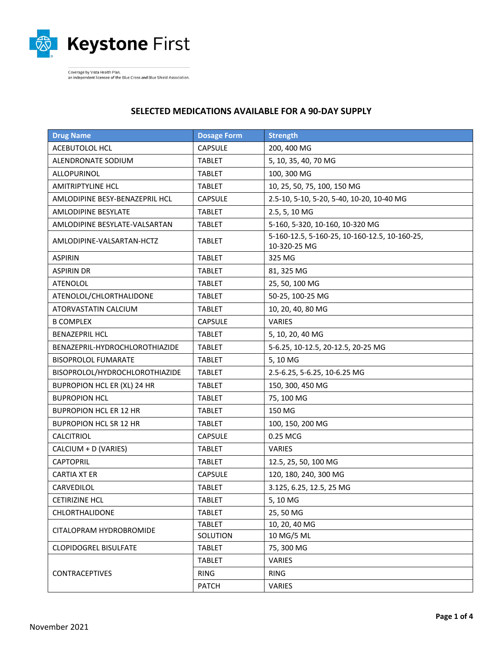

-<br>Coverage by Vista Health Plan,<br>an independent licensee of the Blue Cross and Blue Shield Association.

## **SELECTED MEDICATIONS AVAILABLE FOR A 90-DAY SUPPLY**

| <b>Drug Name</b>               | <b>Dosage Form</b> | <b>Strength</b>                                               |
|--------------------------------|--------------------|---------------------------------------------------------------|
| ACEBUTOLOL HCL                 | <b>CAPSULE</b>     | 200, 400 MG                                                   |
| ALENDRONATE SODIUM             | <b>TABLET</b>      | 5, 10, 35, 40, 70 MG                                          |
| ALLOPURINOL                    | <b>TABLET</b>      | 100, 300 MG                                                   |
| <b>AMITRIPTYLINE HCL</b>       | <b>TABLET</b>      | 10, 25, 50, 75, 100, 150 MG                                   |
| AMLODIPINE BESY-BENAZEPRIL HCL | <b>CAPSULE</b>     | 2.5-10, 5-10, 5-20, 5-40, 10-20, 10-40 MG                     |
| <b>AMLODIPINE BESYLATE</b>     | <b>TABLET</b>      | 2.5, 5, 10 MG                                                 |
| AMLODIPINE BESYLATE-VALSARTAN  | <b>TABLET</b>      | 5-160, 5-320, 10-160, 10-320 MG                               |
| AMLODIPINE-VALSARTAN-HCTZ      | <b>TABLET</b>      | 5-160-12.5, 5-160-25, 10-160-12.5, 10-160-25,<br>10-320-25 MG |
| <b>ASPIRIN</b>                 | <b>TABLET</b>      | 325 MG                                                        |
| <b>ASPIRIN DR</b>              | <b>TABLET</b>      | 81, 325 MG                                                    |
| <b>ATENOLOL</b>                | <b>TABLET</b>      | 25, 50, 100 MG                                                |
| ATENOLOL/CHLORTHALIDONE        | <b>TABLET</b>      | 50-25, 100-25 MG                                              |
| ATORVASTATIN CALCIUM           | <b>TABLET</b>      | 10, 20, 40, 80 MG                                             |
| <b>B COMPLEX</b>               | <b>CAPSULE</b>     | <b>VARIES</b>                                                 |
| <b>BENAZEPRIL HCL</b>          | <b>TABLET</b>      | 5, 10, 20, 40 MG                                              |
| BENAZEPRIL-HYDROCHLOROTHIAZIDE | <b>TABLET</b>      | 5-6.25, 10-12.5, 20-12.5, 20-25 MG                            |
| <b>BISOPROLOL FUMARATE</b>     | <b>TABLET</b>      | 5,10 MG                                                       |
| BISOPROLOL/HYDROCHLOROTHIAZIDE | <b>TABLET</b>      | 2.5-6.25, 5-6.25, 10-6.25 MG                                  |
| BUPROPION HCL ER (XL) 24 HR    | <b>TABLET</b>      | 150, 300, 450 MG                                              |
| <b>BUPROPION HCL</b>           | <b>TABLET</b>      | 75, 100 MG                                                    |
| <b>BUPROPION HCL ER 12 HR</b>  | <b>TABLET</b>      | 150 MG                                                        |
| <b>BUPROPION HCL SR 12 HR</b>  | <b>TABLET</b>      | 100, 150, 200 MG                                              |
| CALCITRIOL                     | <b>CAPSULE</b>     | 0.25 MCG                                                      |
| CALCIUM + D (VARIES)           | <b>TABLET</b>      | <b>VARIES</b>                                                 |
| <b>CAPTOPRIL</b>               | <b>TABLET</b>      | 12.5, 25, 50, 100 MG                                          |
| <b>CARTIA XT ER</b>            | <b>CAPSULE</b>     | 120, 180, 240, 300 MG                                         |
| CARVEDILOL                     | <b>TABLET</b>      | 3.125, 6.25, 12.5, 25 MG                                      |
| <b>CETIRIZINE HCL</b>          | <b>TABLET</b>      | 5,10 MG                                                       |
| <b>CHLORTHALIDONE</b>          | <b>TABLET</b>      | 25, 50 MG                                                     |
| CITALOPRAM HYDROBROMIDE        | <b>TABLET</b>      | 10, 20, 40 MG                                                 |
|                                | SOLUTION           | 10 MG/5 ML                                                    |
| <b>CLOPIDOGREL BISULFATE</b>   | <b>TABLET</b>      | 75, 300 MG                                                    |
| <b>CONTRACEPTIVES</b>          | <b>TABLET</b>      | VARIES                                                        |
|                                | RING               | <b>RING</b>                                                   |
|                                | <b>PATCH</b>       | VARIES                                                        |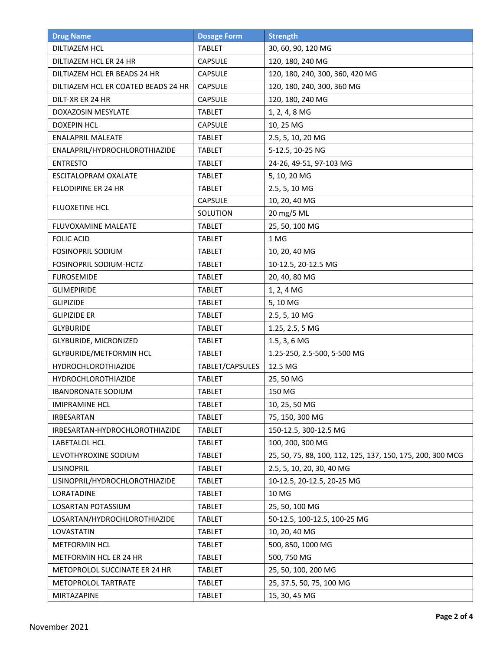| <b>Drug Name</b>                    | <b>Dosage Form</b> | <b>Strength</b>                                            |
|-------------------------------------|--------------------|------------------------------------------------------------|
| <b>DILTIAZEM HCL</b>                | <b>TABLET</b>      | 30, 60, 90, 120 MG                                         |
| DILTIAZEM HCL ER 24 HR              | <b>CAPSULE</b>     | 120, 180, 240 MG                                           |
| DILTIAZEM HCL ER BEADS 24 HR        | <b>CAPSULE</b>     | 120, 180, 240, 300, 360, 420 MG                            |
| DILTIAZEM HCL ER COATED BEADS 24 HR | CAPSULE            | 120, 180, 240, 300, 360 MG                                 |
| DILT-XR ER 24 HR                    | <b>CAPSULE</b>     | 120, 180, 240 MG                                           |
| <b>DOXAZOSIN MESYLATE</b>           | <b>TABLET</b>      | 1, 2, 4, 8 MG                                              |
| <b>DOXEPIN HCL</b>                  | <b>CAPSULE</b>     | 10, 25 MG                                                  |
| <b>ENALAPRIL MALEATE</b>            | <b>TABLET</b>      | 2.5, 5, 10, 20 MG                                          |
| ENALAPRIL/HYDROCHLOROTHIAZIDE       | <b>TABLET</b>      | 5-12.5, 10-25 NG                                           |
| <b>ENTRESTO</b>                     | TABLET             | 24-26, 49-51, 97-103 MG                                    |
| ESCITALOPRAM OXALATE                | <b>TABLET</b>      | 5, 10, 20 MG                                               |
| FELODIPINE ER 24 HR                 | <b>TABLET</b>      | 2.5, 5, 10 MG                                              |
|                                     | <b>CAPSULE</b>     | 10, 20, 40 MG                                              |
| <b>FLUOXETINE HCL</b>               | SOLUTION           | 20 mg/5 ML                                                 |
| <b>FLUVOXAMINE MALEATE</b>          | <b>TABLET</b>      | 25, 50, 100 MG                                             |
| <b>FOLIC ACID</b>                   | <b>TABLET</b>      | 1 MG                                                       |
| <b>FOSINOPRIL SODIUM</b>            | <b>TABLET</b>      | 10, 20, 40 MG                                              |
| FOSINOPRIL SODIUM-HCTZ              | <b>TABLET</b>      | 10-12.5, 20-12.5 MG                                        |
| <b>FUROSEMIDE</b>                   | <b>TABLET</b>      | 20, 40, 80 MG                                              |
| <b>GLIMEPIRIDE</b>                  | <b>TABLET</b>      | 1, 2, 4 MG                                                 |
| <b>GLIPIZIDE</b>                    | <b>TABLET</b>      | 5, 10 MG                                                   |
| <b>GLIPIZIDE ER</b>                 | <b>TABLET</b>      | 2.5, 5, 10 MG                                              |
| <b>GLYBURIDE</b>                    | <b>TABLET</b>      | 1.25, 2.5, 5 MG                                            |
| GLYBURIDE, MICRONIZED               | <b>TABLET</b>      | 1.5, 3, 6 MG                                               |
| GLYBURIDE/METFORMIN HCL             | <b>TABLET</b>      | 1.25-250, 2.5-500, 5-500 MG                                |
| <b>HYDROCHLOROTHIAZIDE</b>          | TABLET/CAPSULES    | 12.5 MG                                                    |
| <b>HYDROCHLOROTHIAZIDE</b>          | <b>TABLET</b>      | 25, 50 MG                                                  |
| <b>IBANDRONATE SODIUM</b>           | <b>TABLET</b>      | 150 MG                                                     |
| <b>IMIPRAMINE HCL</b>               | <b>TABLET</b>      | 10, 25, 50 MG                                              |
| <b>IRBESARTAN</b>                   | <b>TABLET</b>      | 75, 150, 300 MG                                            |
| IRBESARTAN-HYDROCHLOROTHIAZIDE      | <b>TABLET</b>      | 150-12.5, 300-12.5 MG                                      |
| LABETALOL HCL                       | <b>TABLET</b>      | 100, 200, 300 MG                                           |
| LEVOTHYROXINE SODIUM                | TABLET             | 25, 50, 75, 88, 100, 112, 125, 137, 150, 175, 200, 300 MCG |
| <b>LISINOPRIL</b>                   | <b>TABLET</b>      | 2.5, 5, 10, 20, 30, 40 MG                                  |
| LISINOPRIL/HYDROCHLOROTHIAZIDE      | <b>TABLET</b>      | 10-12.5, 20-12.5, 20-25 MG                                 |
| LORATADINE                          | <b>TABLET</b>      | 10 MG                                                      |
| LOSARTAN POTASSIUM                  | <b>TABLET</b>      | 25, 50, 100 MG                                             |
| LOSARTAN/HYDROCHLOROTHIAZIDE        | <b>TABLET</b>      | 50-12.5, 100-12.5, 100-25 MG                               |
| LOVASTATIN                          | <b>TABLET</b>      | 10, 20, 40 MG                                              |
| <b>METFORMIN HCL</b>                | <b>TABLET</b>      | 500, 850, 1000 MG                                          |
| METFORMIN HCL ER 24 HR              | <b>TABLET</b>      | 500, 750 MG                                                |
| METOPROLOL SUCCINATE ER 24 HR       | <b>TABLET</b>      | 25, 50, 100, 200 MG                                        |
| METOPROLOL TARTRATE                 | <b>TABLET</b>      | 25, 37.5, 50, 75, 100 MG                                   |
| MIRTAZAPINE                         | <b>TABLET</b>      | 15, 30, 45 MG                                              |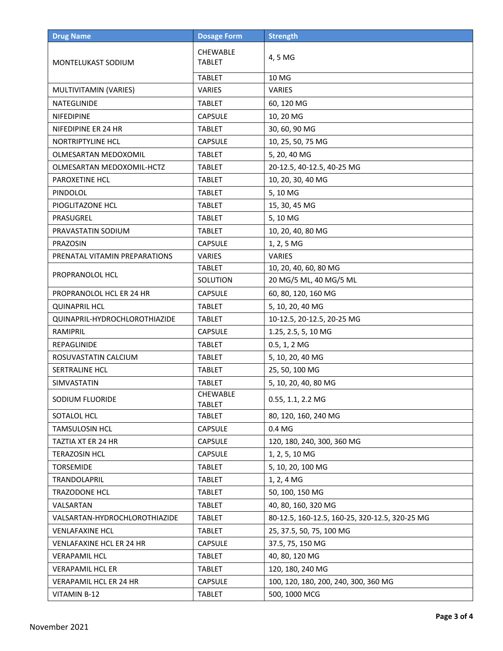| <b>Drug Name</b>                | <b>Dosage Form</b>               | <b>Strength</b>                                |
|---------------------------------|----------------------------------|------------------------------------------------|
| MONTELUKAST SODIUM              | <b>CHEWABLE</b><br><b>TABLET</b> | 4, 5 MG                                        |
|                                 | <b>TABLET</b>                    | 10 MG                                          |
| MULTIVITAMIN (VARIES)           | <b>VARIES</b>                    | <b>VARIES</b>                                  |
| <b>NATEGLINIDE</b>              | <b>TABLET</b>                    | 60, 120 MG                                     |
| <b>NIFEDIPINE</b>               | <b>CAPSULE</b>                   | 10, 20 MG                                      |
| NIFEDIPINE ER 24 HR             | <b>TABLET</b>                    | 30, 60, 90 MG                                  |
| NORTRIPTYLINE HCL               | <b>CAPSULE</b>                   | 10, 25, 50, 75 MG                              |
| OLMESARTAN MEDOXOMIL            | <b>TABLET</b>                    | 5, 20, 40 MG                                   |
| OLMESARTAN MEDOXOMIL-HCTZ       | <b>TABLET</b>                    | 20-12.5, 40-12.5, 40-25 MG                     |
| PAROXETINE HCL                  | <b>TABLET</b>                    | 10, 20, 30, 40 MG                              |
| PINDOLOL                        | <b>TABLET</b>                    | 5,10 MG                                        |
| PIOGLITAZONE HCL                | <b>TABLET</b>                    | 15, 30, 45 MG                                  |
| PRASUGREL                       | <b>TABLET</b>                    | 5,10 MG                                        |
| PRAVASTATIN SODIUM              | <b>TABLET</b>                    | 10, 20, 40, 80 MG                              |
| PRAZOSIN                        | <b>CAPSULE</b>                   | 1, 2, 5 MG                                     |
| PRENATAL VITAMIN PREPARATIONS   | <b>VARIES</b>                    | <b>VARIES</b>                                  |
|                                 | <b>TABLET</b>                    | 10, 20, 40, 60, 80 MG                          |
| PROPRANOLOL HCL                 | SOLUTION                         | 20 MG/5 ML, 40 MG/5 ML                         |
| PROPRANOLOL HCL ER 24 HR        | <b>CAPSULE</b>                   | 60, 80, 120, 160 MG                            |
| <b>QUINAPRIL HCL</b>            | <b>TABLET</b>                    | 5, 10, 20, 40 MG                               |
| QUINAPRIL-HYDROCHLOROTHIAZIDE   | <b>TABLET</b>                    | 10-12.5, 20-12.5, 20-25 MG                     |
| RAMIPRIL                        | <b>CAPSULE</b>                   | 1.25, 2.5, 5, 10 MG                            |
| <b>REPAGLINIDE</b>              | <b>TABLET</b>                    | 0.5, 1, 2 MG                                   |
| ROSUVASTATIN CALCIUM            | <b>TABLET</b>                    | 5, 10, 20, 40 MG                               |
| SERTRALINE HCL                  | <b>TABLET</b>                    | 25, 50, 100 MG                                 |
| SIMVASTATIN                     | <b>TABLET</b>                    | 5, 10, 20, 40, 80 MG                           |
| SODIUM FLUORIDE                 | CHEWABLE<br><b>TABLET</b>        | 0.55, 1.1, 2.2 MG                              |
| SOTALOL HCL                     | <b>TABLET</b>                    | 80, 120, 160, 240 MG                           |
| TAMSULOSIN HCL                  | <b>CAPSULE</b>                   | 0.4 MG                                         |
| TAZTIA XT ER 24 HR              | <b>CAPSULE</b>                   | 120, 180, 240, 300, 360 MG                     |
| <b>TERAZOSIN HCL</b>            | <b>CAPSULE</b>                   | 1, 2, 5, 10 MG                                 |
| TORSEMIDE                       | <b>TABLET</b>                    | 5, 10, 20, 100 MG                              |
| TRANDOLAPRIL                    | <b>TABLET</b>                    | 1, 2, 4 MG                                     |
| TRAZODONE HCL                   | <b>TABLET</b>                    | 50, 100, 150 MG                                |
| VALSARTAN                       | <b>TABLET</b>                    | 40, 80, 160, 320 MG                            |
| VALSARTAN-HYDROCHLOROTHIAZIDE   | <b>TABLET</b>                    | 80-12.5, 160-12.5, 160-25, 320-12.5, 320-25 MG |
| <b>VENLAFAXINE HCL</b>          | <b>TABLET</b>                    | 25, 37.5, 50, 75, 100 MG                       |
| <b>VENLAFAXINE HCL ER 24 HR</b> | <b>CAPSULE</b>                   | 37.5, 75, 150 MG                               |
| <b>VERAPAMIL HCL</b>            | <b>TABLET</b>                    | 40, 80, 120 MG                                 |
| <b>VERAPAMIL HCL ER</b>         | <b>TABLET</b>                    | 120, 180, 240 MG                               |
| <b>VERAPAMIL HCL ER 24 HR</b>   | <b>CAPSULE</b>                   | 100, 120, 180, 200, 240, 300, 360 MG           |
| VITAMIN B-12                    | <b>TABLET</b>                    | 500, 1000 MCG                                  |